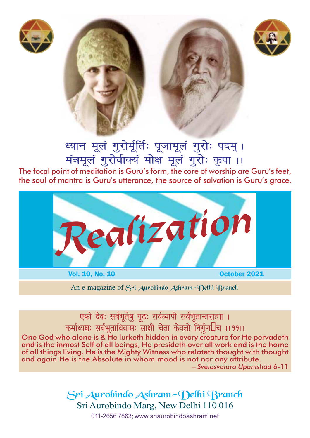





ध्यान मूलं गुरोर्मूर्तिः पूजामूलं गुरोः पदम् । मंत्रमूलं गुरोर्वाक्यं मोक्ष मूलं गुरोः कृपा ।।

The focal point of meditation is Guru's form, the core of worship are Guru's feet, the soul of mantra is Guru's utterance, the source of salvation is Guru's grace.



An e-magazine of Sri Aurobindo Ashram-Delhi Branch

एको देवः सर्वभूतेषु गूढः सर्वव्यापी सर्वभूतान्तरात्मा । कर्माध्यक्षः सर्वभूताधिवासः साक्षी चेता केवलो निर्गुण**ी**य ।।११।।

One God who alone is & He lurketh hidden in every creature for He pervadeth and is the inmost Self of all beings, He presideth over all work and is the home of all things living. He is the Mighty Witness who relateth thought with thought and again He is the Absolute in whom mood is not nor any attribute. – *Svetasvatara Upanishad* 6-11

> Sri Aurobindo Ashram-Delhi Branch Sri Aurobindo Marg, New Delhi 110 016

011-2656 7863; www.sriaurobindoashram.net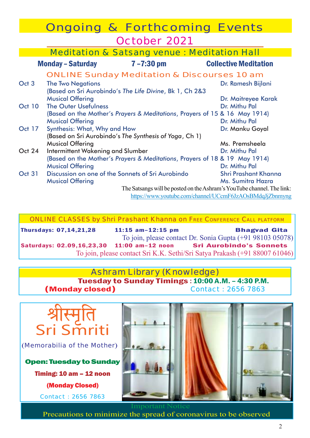#### Ongoing & Forthcoming Events October 2021 **Meditation & Satsang venue : Meditation Hall** Monday – Saturday 7 –7:30 pm Collective Meditation ONLINE Sunday Meditation & Discourses 10 am Oct 3 The Two Negations **Dr. Ramesh Bijlani** (Based on Sri Aurobindo's *The Life Divine*, Bk 1, Ch 2&3 Musical Offering **Dr. Maitreyee Karak** Oct 10 The Outer Usefulness **Dr. Mithu Pall** (Based on the Mother's *Prayers & Meditations*, Prayers of 15 & 16 May 1914) Musical Offering **Dr. Mithu Palmetia** Dr. Mithu Palmetia Dr. Mithu Palmetia Dr. Mithu Palmetia Dr. Mithu Palmetia Dr. Mithu Palmetia Dr. Mithu Palmetia Dr. Mithu Palmetia Dr. Mithu Palmetia Dr. Mithu Palmetia Dr. Mithu Pal Oct 17 Synthesis: What, Why and How Dr. Manku Goyal (Based on Sri Aurobindo's *The Synthesis of Yoga*, Ch 1) Musical Offering Musical Offering Musical Offering Musical Offering Musical Distribution Musical Offering Musical Analysis of Musical Offering Musical Offering Musical Offering Musical Offering Musical Offering Musical Off Oct 24 Intermittent Wakening and Slumber Dr. Mithu Pal (Based on the Mother's *Prayers & Meditations*, Prayers of 18 & 19 May 1914) Musical Offering **Dr. Alternation** Dr. Mithu Pal Oct 31 Discussion on one of the Sonnets of Sri Aurobindo Shri Prashant Khanna Musical Offering Musical Offering Musical Offering Musical Offering Musical Offering Musical Offering Musical O The Satsangs will be posted on the Ashram's YouTube channel. The link: https://www.youtube.com/channel/UCcmF6JzAOsBMdqJjZbnmyng

ONLINE CLASSES by Shri Prashant Khanna on FREE CONFERENCE CALL PLATFORM

Thursdays: 07,14,21,28 11:15 am-12:15 pm Bhagvad Gita To join, please contact Dr. Sonia Gupta (+91 98103 05078) Saturdays: 02.09,16,23,30 11:00 am–12 noon Sri Aurobindo's Sonnets To join, please contact Sri K.K. Sethi/Sri Satya Prakash (+91 88007 61046)

#### Ashram Library (Knowledge) Tuesday to Sunday Timings : 10:00 A.M. – 4:30 P.M. (Monday closed) *Contact :* 2656 7863



Precautions to minimize the spread of coronavirus to be observed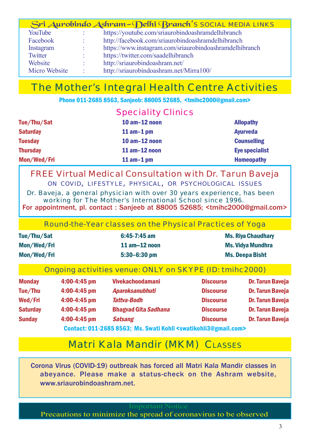| Sri Aurobindo Ashram-Delhi Branch's SOCIAL MEDIA LINKS |            |                                                         |  |  |  |
|--------------------------------------------------------|------------|---------------------------------------------------------|--|--|--|
| YouTube                                                | ÷          | https://youtube.com/sriaurobindoashramdelhibranch       |  |  |  |
| Facebook                                               |            | http://facebook.com/sriaurobindoashramdelhibranch       |  |  |  |
| Instagram                                              | ÷          | https://www.instagram.com/sriaurobindoashramdelhibranch |  |  |  |
| Twitter                                                | ÷          | https://twitter.com/saadelhibranch                      |  |  |  |
| Website                                                | ÷          | http://sriaurobindoashram.net/                          |  |  |  |
| Micro Website                                          | $\sim 200$ | http://sriaurobindoashram.net/Mirra100/                 |  |  |  |

# The Mother's Integral Health Centre Activities

Phone 011-2685 8563, Sanjeeb: 88005 52685, <tmihc2000@gmail.com>

| <b>Speciality Clinics</b> |               |                       |  |  |  |
|---------------------------|---------------|-----------------------|--|--|--|
| Tue/Thu/Sat               | 10 am-12 noon | <b>Allopathy</b>      |  |  |  |
| <b>Saturday</b>           | 11 am $-1$ pm | <b>Ayurveda</b>       |  |  |  |
| <b>Tuesday</b>            | 10 am-12 noon | <b>Counselling</b>    |  |  |  |
| <b>Thursday</b>           | 11 am-12 noon | <b>Eye specialist</b> |  |  |  |
| Mon/Wed/Fri               | 11 am $-1$ pm | <b>Homeopathy</b>     |  |  |  |

# FREE Virtual Medical Consultation with Dr. Tarun Baveja ON COVID, LIFESTYLE, PHYSICAL, OR PSYCHOLOGICAL ISSUES

Dr. Baveja, a general physician with over 30 years experience, has been working for The Mother's International School since 1996.

For appointment, pl. contact : Sanjeeb at 88005 52685; <tmihc2000@gmail.com>

#### Round-the-Year classes on the Physical Practices of Yoga

Mon/Wed/Fri 5:30–6:30 pm Ms. Deepa Bisht

Tue/Thu/Sat 6:45-7:45 am Ms. Riya Chaudhary Mon/Wed/Fri 2012 11 am–12 noon Ms. Vidya Mundhra

#### Ongoing activities venue: ONLY on SKYPE (ID: tmihc2000)

| <b>Monday</b>   | $4:00 - 4:45$ pm | <b>Vivekachoodamani</b>                                           | <b>Discourse</b> | <b>Dr. Tarun Baveja</b> |
|-----------------|------------------|-------------------------------------------------------------------|------------------|-------------------------|
| Tue/Thu         | $4:00 - 4:45$ pm | <b>Aparoksanubhuti</b>                                            | <b>Discourse</b> | <b>Dr. Tarun Baveja</b> |
| Wed/Fri         | 4:00-4:45 pm     | Tattva-Bodh                                                       | <b>Discourse</b> | <b>Dr. Tarun Baveja</b> |
| <b>Saturday</b> | $4:00 - 4:45$ pm | <b>Bhagvad Gita Sadhana</b>                                       | <b>Discourse</b> | <b>Dr. Tarun Baveja</b> |
| <b>Sunday</b>   | $4:00 - 4:45$ pm | <b>Satsang</b>                                                    | <b>Discourse</b> | <b>Dr. Tarun Baveja</b> |
|                 |                  | Contact: 044, OCOE OECO: Mo. Curat: Kohl: Zowatikohl:2@dmoil.com> |                  |                         |

Contact: 011-2685 8563; Ms. Swati Kohli <swatikohli3@gmail.com>

# Matri Kala Mandir (MKM) CLASSES

Corona Virus (COVID-19) outbreak has forced all Matri Kala Mandir classes in abeyance. Please make a status-check on the Ashram website, www.sriaurobindoashram.net.

Important Notice

Precautions to minimize the spread of coronavirus to be observed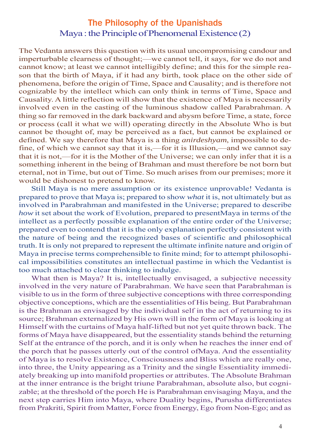# The Philosophy of the Upanishads Maya : the Principle of Phenomenal Existence (2)

The Vedanta answers this question with its usual uncompromising candour and imperturbable clearness of thought;—we cannot tell, it says, for we do not and cannot know; at least we cannot intelligibly define; and this for the simple reason that the birth of Maya, if it had any birth, took place on the other side of phenomena, before the origin of Time, Space and Causality; and is therefore not cognizable by the intellect which can only think in terms of Time, Space and Causality. A little reflection will show that the existence of Maya is necessarily involved even in the casting of the luminous shadow called Parabrahman. A thing so far removed in the dark backward and abysm before Time, a state, force or process (call it what we will) operating directly in the Absolute Who is but cannot be thought of, may be perceived as a fact, but cannot be explained or defined. We say therefore that Maya is a thing *anirdeshyam*, impossible to define, of which we cannot say that it is,—for it is Illusion,—and we cannot say that it is not,—for it is the Mother of the Universe; we can only infer that it is a something inherent in the being of Brahman and must therefore be not born but eternal, not in Time, but out of Time. So much arises from our premises; more it would be dishonest to pretend to know.

Still Maya is no mere assumption or its existence unprovable! Vedanta is prepared to prove that Maya is; prepared to show *what* it is, not ultimately but as involved in Parabrahman and manifested in the Universe; prepared to describe *how* it set about the work of Evolution, prepared to presentMaya in terms of the intellect as a perfectly possible explanation of the entire order of the Universe; prepared even to contend that it is the only explanation perfectly consistent with the nature of being and the recognized bases of scientific and philosophical truth. It is only not prepared to represent the ultimate infinite nature and origin of Maya in precise terms comprehensible to finite mind; for to attempt philosophical impossibilities constitutes an intellectual pastime in which the Vedantist is too much attached to clear thinking to indulge.

What then is Maya? It is, intellectually envisaged, a subjective necessity involved in the very nature of Parabrahman. We have seen that Parabrahman is visible to us in the form of three subjective conceptions with three corresponding objective conceptions, which are the essentialities of His being. But Parabrahman is the Brahman as envisaged by the individual self in the act of returning to its source; Brahman externalized by His own will in the form of Maya is looking at Himself with the curtains of Maya half-lifted but not yet quite thrown back. The forms of Maya have disappeared, but the essentiality stands behind the returning Self at the entrance of the porch, and it is only when he reaches the inner end of the porch that he passes utterly out of the control ofMaya. And the essentiality of Maya is to resolve Existence, Consciousness and Bliss which are really one, into three, the Unity appearing as a Trinity and the single Essentiality immediately breaking up into manifold properties or attributes. The Absolute Brahman at the inner entrance is the bright triune Parabrahman, absolute also, but cognizable; at the threshold of the porch He is Parabrahman envisaging Maya, and the next step carries Him into Maya, where Duality begins, Purusha differentiates from Prakriti, Spirit from Matter, Force from Energy, Ego from Non-Ego; and as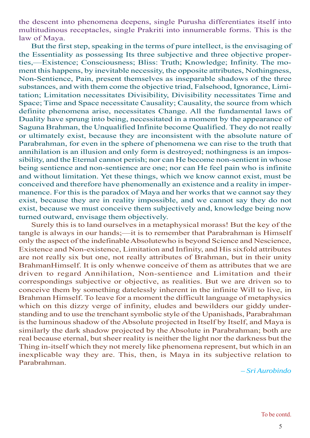the descent into phenomena deepens, single Purusha differentiates itself into multitudinous receptacles, single Prakriti into innumerable forms. This is the law of Maya.

But the first step, speaking in the terms of pure intellect, is the envisaging of the Essentiality as possessing Its three subjective and three objective properties,—Existence; Consciousness; Bliss: Truth; Knowledge; Infinity. The moment this happens, by inevitable necessity, the opposite attributes, Nothingness, Non-Sentience, Pain, present themselves as inseparable shadows of the three substances, and with them come the objective triad, Falsehood, Ignorance, Limitation; Limitation necessitates Divisibility, Divisibility necessitates Time and Space; Time and Space necessitate Causality; Causality, the source from which definite phenomena arise, necessitates Change. All the fundamental laws of Duality have sprung into being, necessitated in a moment by the appearance of Saguna Brahman, the Unqualified Infinite become Qualified. They do not really or ultimately exist, because they are inconsistent with the absolute nature of Parabrahman, for even in the sphere of phenomena we can rise to the truth that annihilation is an illusion and only form is destroyed; nothingness is an impossibility, and the Eternal cannot perish; nor can He become non-sentient in whose being sentience and non-sentience are one; nor can He feel pain who is infinite and without limitation. Yet these things, which we know cannot exist, must be conceived and therefore have phenomenally an existence and a reality in impermanence. For this is the paradox of Maya and her works that we cannot say they exist, because they are in reality impossible, and we cannot say they do not exist, because we must conceive them subjectively and, knowledge being now turned outward, envisage them objectively.

Surely this is to land ourselves in a metaphysical morass! But the key of the tangle is always in our hands;—it is to remember that Parabrahman is Himself only the aspect of the indefinable Absolutewho is beyond Science and Nescience, Existence and Non-existence, Limitation and Infinity, and His sixfold attributes are not really six but one, not really attributes of Brahman, but in their unity BrahmanHimself. It is only whenwe conceive of them as attributes that we are driven to regard Annihilation, Non-sentience and Limitation and their correspondings subjective or objective, as realities. But we are driven so to conceive them by something datelessly inherent in the infinite Will to live, in Brahman Himself. To leave for a moment the difficult language of metaphysics which on this dizzy verge of infinity, eludes and bewilders our giddy understanding and to use the trenchant symbolic style of the Upanishads, Parabrahman is the luminous shadow of the Absolute projected in Itself by Itself, and Maya is similarly the dark shadow projected by the Absolute in Parabrahman; both are real because eternal, but sheer reality is neither the light nor the darkness but the Thing in-itself which they not merely like phenomena represent, but which in an inexplicable way they are. This, then, is Maya in its subjective relation to Parabrahman.

*– Sri Aurobindo*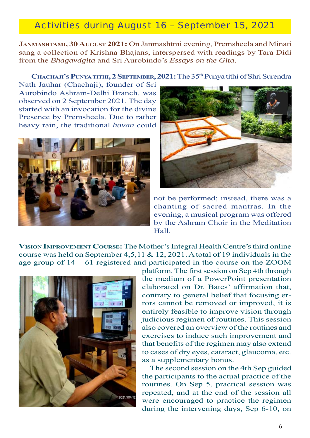# Activities during August 16 – September 15, 2021

**JANMASHTAMI, 30 AUGUST 2021:** On Janmashtmi evening, Premsheela and Minati sang a collection of Krishna Bhajans, interspersed with readings by Tara Didi from the *Bhagavdgita* and Sri Aurobindo's *Essays on the Gita*.

#### **CHACHAJI'S PUNYATITHI, 2 SEPTEMBER, 2021:** The 35th Punya tithi of Shri Surendra

Nath Jauhar (Chachaji), founder of Sri Aurobindo Ashram-Delhi Branch, was observed on 2 September 2021. The day started with an invocation for the divine Presence by Premsheela. Due to rather heavy rain, the traditional *havan* could





not be performed; instead, there was a chanting of sacred mantras. In the evening, a musical program was offered by the Ashram Choir in the Meditation Hall.

**VISION IMPROVEMENT COURSE:** The Mother's Integral Health Centre's third online course was held on September 4,5,11 & 12, 2021. A total of 19 individuals in the age group of 14 – 61 registered and participated in the course on the ZOOM



platform. The first session on Sep 4th through the medium of a PowerPoint presentation elaborated on Dr. Bates' affirmation that, contrary to general belief that focusing errors cannot be removed or improved, it is entirely feasible to improve vision through judicious regimen of routines. This session also covered an overview of the routines and exercises to induce such improvement and that benefits of the regimen may also extend to cases of dry eyes, cataract, glaucoma, etc. as a supplementary bonus.

The second session on the 4th Sep guided the participants to the actual practice of the routines. On Sep 5, practical session was repeated, and at the end of the session all were encouraged to practice the regimen during the intervening days, Sep 6-10, on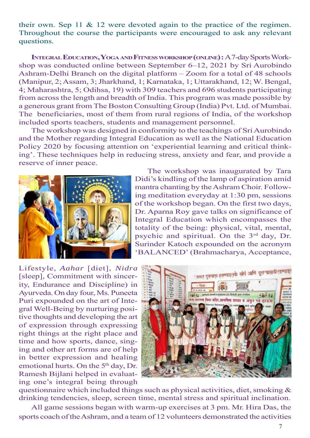their own. Sep 11 & 12 were devoted again to the practice of the regimen. Throughout the course the participants were encouraged to ask any relevant questions.

**INTEGRAL EDUCATION, YOGAAND FITNESSWORKSHOP (ONLINE) :** A 7-day Sports Workshop was conducted online between September 6–12, 2021 by Sri Aurobindo Ashram-Delhi Branch on the digital platform – Zoom for a total of 48 schools (Manipur, 2; Assam, 3; Jharkhand, 1; Karnataka, 1; Uttarakhand, 12; W. Bengal, 4; Maharashtra, 5; Odihsa, 19) with 309 teachers and 696 students participating from across the length and breadth of India. This program was made possible by a generous grant from The Boston Consulting Group (India) Pvt. Ltd. of Mumbai. The beneficiaries, most of them from rural regions of India, of the workshop included sports teachers, students and management personnel.

The workshop was designed in conformity to the teachings of Sri Aurobindo and the Mother regarding Integral Education as well as the National Education Policy 2020 by focusing attention on 'experiential learning and critical thinking'. These techniques help in reducing stress, anxiety and fear, and provide a reserve of inner peace.



The workshop was inaugurated by Tara Didi's kindling of the lamp of aspiration amid mantra chanting by the Ashram Choir. Following meditation everyday at 1:30 pm, sessions of the workshop began. On the first two days, Dr. Aparna Roy gave talks on significance of Integral Education which encompasses the totality of the being: physical, vital, mental, psychic and spiritual. On the 3rd day, Dr. Surinder Katoch expounded on the acronym 'BALANCED' (Brahmacharya, Acceptance,

Lifestyle, *Aahar* [diet], *Nidra* [sleep], Commitment with sincerity, Endurance and Discipline) in Ayurveda. On day four, Ms. Puneeta Puri expounded on the art of Integral Well-Being by nurturing positive thoughts and developing the art of expression through expressing right things at the right place and time and how sports, dance, singing and other art forms are of help in better expression and healing emotional hurts. On the  $5<sup>th</sup>$  day, Dr. Ramesh Bijlani helped in evaluating one's integral being through



questionnaire which included things such as physical activities, diet, smoking & drinking tendencies, sleep, screen time, mental stress and spiritual inclination.

All game sessions began with warm-up exercises at 3 pm. Mr. Hira Das, the sports coach of the Ashram, and a team of 12 volunteers demonstrated the activities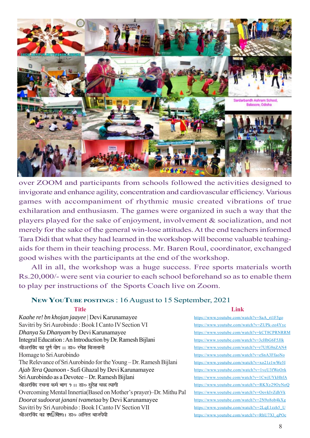

over ZOOM and participants from schools followed the activities designed to invigorate and enhance agility, concentration and cardiovascular efficiency. Various games with accompaniment of rhythmic music created vibrations of true exhilaration and enthusiasm. The games were organized in such a way that the players played for the sake of enjoyment, involvement & socialization, and not merely for the sake of the general win-lose attitudes. At the end teachers informed Tara Didi that what they had learned in the workshop will become valuable teahingaids for them in their teaching process. Mr. Baren Roul, coordinator, exchanged good wishes with the participants at the end of the workshop.

All in all, the workshop was a huge success. Free sports materials worth Rs.20,000/- were sent via courier to each school beforehand so as to enable them to play per instructions of the Sports Coach live on Zoom.

#### **NEW YOUTUBE POSTINGS** : 16 August to 15 September, 2021

| <b>Title</b>                                                       | Link                      |
|--------------------------------------------------------------------|---------------------------|
| Kaahe re! bn khojan jaayee   Devi Karunamayee                      | https://www.youtube.com/w |
| Savitri by Sri Aurobindo: Book I Canto IV Section VI               | https://www.youtube.com/v |
| Dhanya Su Dhanyam by Devi Karunamayee                              | https://www.youtube.com/w |
| Integral Education: An Introduction by Dr. Ramesh Bijlani          | https://www.youtube.com/w |
| श्रीअरविंद का पूर्ण योग ।। डा० रमेश बिजलानी                        | https://www.youtube.com/w |
| Homage to Sri Aurobindo                                            | https://www.youtube.com/w |
| The Relevance of Sri Aurobindo for the Young – Dr. Ramesh Bijlani  | https://www.youtube.com/w |
| Aj <i>ab Tera Qaanoon -</i> Sufi Ghazal by Devi Karunamayee        | https://www.youtube.com/v |
| Sri Aurobindo as a Devotee – Dr. Ramesh Bijlani                    | https://www.youtube.com/w |
| श्रीअरविंद रचना कर्म भाग १।। डा० सुरेश चन्द्र त्यागी               | https://www.youtube.com/w |
| Overcoming Mental Innertia(Based on Mother's prayer)–Dr. Mithu Pal | https://www.youtube.com/w |
| Doorat sudoorat janani tvametaa by Devi Karunamayee                | https://www.youtube.com/w |
| Savitri by Sri Aurobindo: Book I Canto IV Section VII              | https://www.youtube.com/w |
| श्रीअरविंद का <b>राष्टÜ</b> र्दितना। डा० अनिल बाजपेयी              | https://www.youtube.com/w |
|                                                                    |                           |

ps://www.youtube.com/watch?v=SaA\_rt1F5go ps://www.youtube.com/watch?v=ZUPk-zo4Yyc ps://www.youtube.com/watch?v=kCT8CPRNRRM ps://www.youtube.com/watch?v=3cHbG6F5JIk ps://www.youtube.com/watch?v=r7UfG8nZAN4 ps://www.youtube.com/watch?v=eSnA3FfaoNo https://www.youtube.com/watch?v=xo21z1wWe5I ps://www.youtube.com/watch?v=1vcU3fWoOrk ps://www.youtube.com/watch?v=1CwjUYkHhfA https://www.youtube.com/watch?v=RKXy29OyNoQ ps://www.youtube.com/watch?v=OovkIvZdhVk ps://www.youtube.com/watch?v=2N9o8ob4kXg  $ps://www.youtube.com/watch?v=2LqE1zzh5$  U ps://www.youtube.com/watch?v=RhU7Xl\_qPOc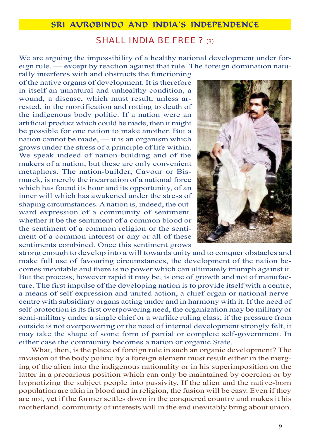## SRI AUROBINDO AND INDIA'S INDEPENDENCE

# SHALL INDIA BE FREE ? (3)

We are arguing the impossibility of a healthy national development under foreign rule, — except by reaction against that rule. The foreign domination natu-

rally interferes with and obstructs the functioning of the native organs of development. It is therefore in itself an unnatural and unhealthy condition, a wound, a disease, which must result, unless arrested, in the mortification and rotting to death of the indigenous body politic. If a nation were an artificial product which could be made, then it might be possible for one nation to make another. But a nation cannot be made, — it is an organism which grows under the stress of a principle of life within. We speak indeed of nation-building and of the makers of a nation, but these are only convenient metaphors. The nation-builder, Cavour or Bismarck, is merely the incarnation of a national force which has found its hour and its opportunity, of an inner will which has awakened under the stress of shaping circumstances. A nation is, indeed, the outward expression of a community of sentiment, whether it be the sentiment of a common blood or the sentiment of a common religion or the sentiment of a common interest or any or all of these sentiments combined. Once this sentiment grows



strong enough to develop into a will towards unity and to conquer obstacles and make full use of favouring circumstances, the development of the nation becomes inevitable and there is no power which can ultimately triumph against it. But the process, however rapid it may be, is one of growth and not of manufacture. The first impulse of the developing nation is to provide itself with a centre, a means of self-expression and united action, a chief organ or national nervecentre with subsidiary organs acting under and in harmony with it. If the need of self-protection is its first overpowering need, the organization may be military or semi-military under a single chief or a warlike ruling class; if the pressure from outside is not overpowering or the need of internal development strongly felt, it may take the shape of some form of partial or complete self-government. In either case the community becomes a nation or organic State.

What, then, is the place of foreign rule in such an organic development? The invasion of the body politic by a foreign element must result either in the merging of the alien into the indigenous nationality or in his superimposition on the latter in a precarious position which can only be maintained by coercion or by hypnotizing the subject people into passivity. If the alien and the native-born population are akin in blood and in religion, the fusion will be easy. Even if they are not, yet if the former settles down in the conquered country and makes it his motherland, community of interests will in the end inevitably bring about union.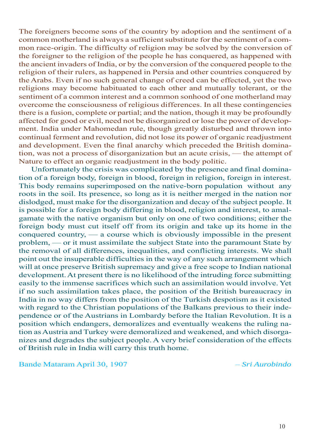The foreigners become sons of the country by adoption and the sentiment of a common motherland is always a sufficient substitute for the sentiment of a common race-origin. The difficulty of religion may be solved by the conversion of the foreigner to the religion of the people he has conquered, as happened with the ancient invaders of India, or by the conversion of the conquered people to the religion of their rulers, as happened in Persia and other countries conquered by the Arabs. Even if no such general change of creed can be effected, yet the two religions may become habituated to each other and mutually tolerant, or the sentiment of a common interest and a common sonhood of one motherland may overcome the consciousness of religious differences. In all these contingencies there is a fusion, complete or partial; and the nation, though it may be profoundly affected for good or evil, need not be disorganized or lose the power of development. India under Mahomedan rule, though greatly disturbed and thrown into continual ferment and revolution, did not lose its power of organic readjustment and development. Even the final anarchy which preceded the British domination, was not a process of disorganization but an acute crisis, — the attempt of Nature to effect an organic readjustment in the body politic.

Unfortunately the crisis was complicated by the presence and final domination of a foreign body, foreign in blood, foreign in religion, foreign in interest. This body remains superimposed on the native-born population without any roots in the soil. Its presence, so long as it is neither merged in the nation nor dislodged, must make for the disorganization and decay of the subject people. It is possible for a foreign body differing in blood, religion and interest, to amalgamate with the native organism but only on one of two conditions; either the foreign body must cut itself off from its origin and take up its home in the conquered country, — a course which is obviously impossible in the present problem, — or it must assimilate the subject State into the paramount State by the removal of all differences, inequalities, and conflicting interests. We shall point out the insuperable difficulties in the way of any such arrangement which will at once preserve British supremacy and give a free scope to Indian national development. At present there is no likelihood of the intruding force submitting easily to the immense sacrifices which such an assimilation would involve. Yet if no such assimilation takes place, the position of the British bureaucracy in India in no way differs from the position of the Turkish despotism as it existed with regard to the Christian populations of the Balkans previous to their independence or of the Austrians in Lombardy before the Italian Revolution. It is a position which endangers, demoralizes and eventually weakens the ruling nation as Austria and Turkey were demoralized and weakened, and which disorganizes and degrades the subject people. A very brief consideration of the effects of British rule in India will carry this truth home.

Bande Mataram April 30, 1907 – *Sri Aurobindo*